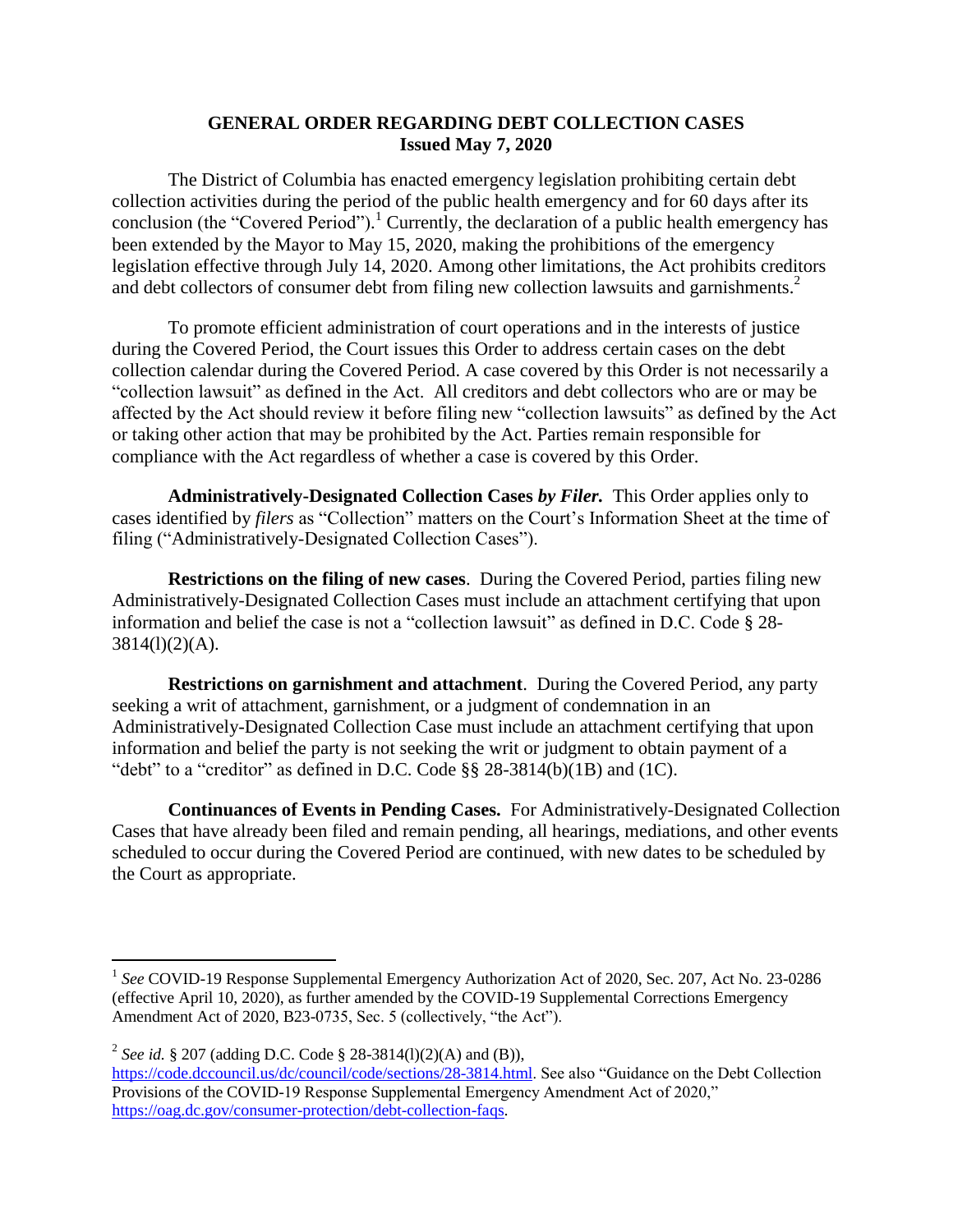## **GENERAL ORDER REGARDING DEBT COLLECTION CASES Issued May 7, 2020**

The District of Columbia has enacted emergency legislation prohibiting certain debt collection activities during the period of the public health emergency and for 60 days after its conclusion (the "Covered Period"). <sup>1</sup> Currently, the declaration of a public health emergency has been extended by the Mayor to May 15, 2020, making the prohibitions of the emergency legislation effective through July 14, 2020. Among other limitations, the Act prohibits creditors and debt collectors of consumer debt from filing new collection lawsuits and garnishments. 2

To promote efficient administration of court operations and in the interests of justice during the Covered Period, the Court issues this Order to address certain cases on the debt collection calendar during the Covered Period. A case covered by this Order is not necessarily a "collection lawsuit" as defined in the Act. All creditors and debt collectors who are or may be affected by the Act should review it before filing new "collection lawsuits" as defined by the Act or taking other action that may be prohibited by the Act. Parties remain responsible for compliance with the Act regardless of whether a case is covered by this Order.

**Administratively-Designated Collection Cases** *by Filer.* This Order applies only to cases identified by *filers* as "Collection" matters on the Court's Information Sheet at the time of filing ("Administratively-Designated Collection Cases").

**Restrictions on the filing of new cases**. During the Covered Period, parties filing new Administratively-Designated Collection Cases must include an attachment certifying that upon information and belief the case is not a "collection lawsuit" as defined in D.C. Code § 28-  $3814(1)(2)(A)$ .

**Restrictions on garnishment and attachment**. During the Covered Period, any party seeking a writ of attachment, garnishment, or a judgment of condemnation in an Administratively-Designated Collection Case must include an attachment certifying that upon information and belief the party is not seeking the writ or judgment to obtain payment of a "debt" to a "creditor" as defined in D.C. Code §§ 28-3814(b)(1B) and (1C).

**Continuances of Events in Pending Cases.** For Administratively-Designated Collection Cases that have already been filed and remain pending, all hearings, mediations, and other events scheduled to occur during the Covered Period are continued, with new dates to be scheduled by the Court as appropriate.

 $\overline{a}$ 

<sup>&</sup>lt;sup>1</sup> See COVID-19 Response Supplemental Emergency Authorization Act of 2020, Sec. 207, Act No. 23-0286 (effective April 10, 2020), as further amended by the COVID-19 Supplemental Corrections Emergency Amendment Act of 2020, B23-0735, Sec. 5 (collectively, "the Act").

<sup>2</sup> *See id.* § 207 (adding D.C. Code § 28-3814(l)(2)(A) and (B)),

[https://code.dccouncil.us/dc/council/code/sections/28-3814.html.](https://code.dccouncil.us/dc/council/code/sections/28-3814.html) See also "Guidance on the Debt Collection Provisions of the COVID-19 Response Supplemental Emergency Amendment Act of 2020," [https://oag.dc.gov/consumer-protection/debt-collection-faqs.](https://oag.dc.gov/consumer-protection/debt-collection-faqs)